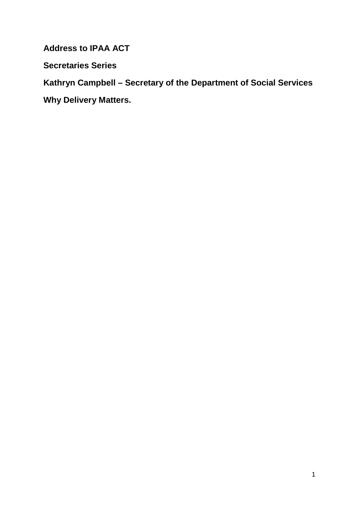**Address to IPAA ACT**

**Secretaries Series**

**Kathryn Campbell – Secretary of the Department of Social Services**

**Why Delivery Matters.**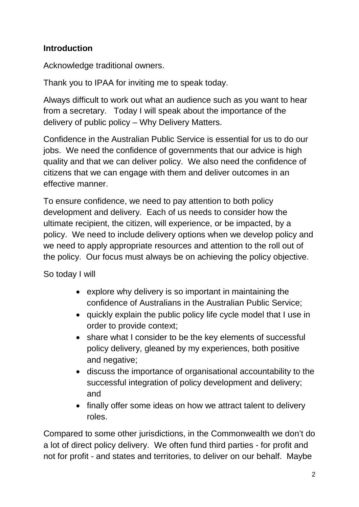### **Introduction**

Acknowledge traditional owners.

Thank you to IPAA for inviting me to speak today.

Always difficult to work out what an audience such as you want to hear from a secretary. Today I will speak about the importance of the delivery of public policy – Why Delivery Matters.

Confidence in the Australian Public Service is essential for us to do our jobs. We need the confidence of governments that our advice is high quality and that we can deliver policy. We also need the confidence of citizens that we can engage with them and deliver outcomes in an effective manner.

To ensure confidence, we need to pay attention to both policy development and delivery. Each of us needs to consider how the ultimate recipient, the citizen, will experience, or be impacted, by a policy. We need to include delivery options when we develop policy and we need to apply appropriate resources and attention to the roll out of the policy. Our focus must always be on achieving the policy objective.

So today I will

- explore why delivery is so important in maintaining the confidence of Australians in the Australian Public Service;
- quickly explain the public policy life cycle model that I use in order to provide context;
- share what I consider to be the key elements of successful policy delivery, gleaned by my experiences, both positive and negative;
- discuss the importance of organisational accountability to the successful integration of policy development and delivery; and
- finally offer some ideas on how we attract talent to delivery roles.

Compared to some other jurisdictions, in the Commonwealth we don't do a lot of direct policy delivery. We often fund third parties - for profit and not for profit - and states and territories, to deliver on our behalf. Maybe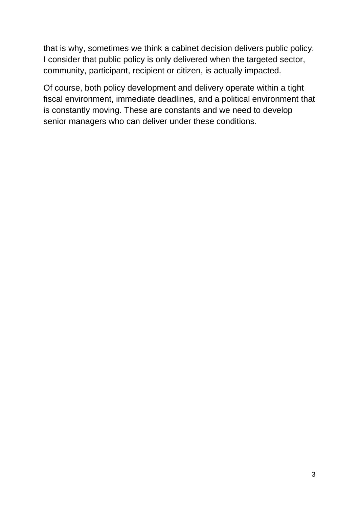that is why, sometimes we think a cabinet decision delivers public policy. I consider that public policy is only delivered when the targeted sector, community, participant, recipient or citizen, is actually impacted.

Of course, both policy development and delivery operate within a tight fiscal environment, immediate deadlines, and a political environment that is constantly moving. These are constants and we need to develop senior managers who can deliver under these conditions.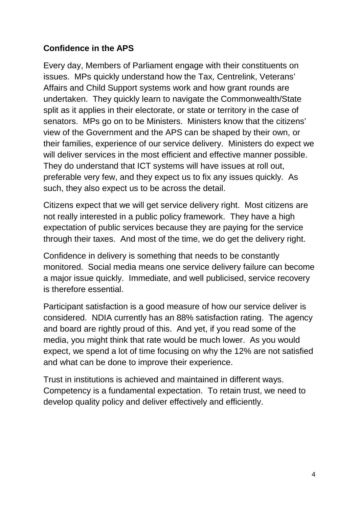### **Confidence in the APS**

Every day, Members of Parliament engage with their constituents on issues. MPs quickly understand how the Tax, Centrelink, Veterans' Affairs and Child Support systems work and how grant rounds are undertaken. They quickly learn to navigate the Commonwealth/State split as it applies in their electorate, or state or territory in the case of senators. MPs go on to be Ministers. Ministers know that the citizens' view of the Government and the APS can be shaped by their own, or their families, experience of our service delivery. Ministers do expect we will deliver services in the most efficient and effective manner possible. They do understand that ICT systems will have issues at roll out, preferable very few, and they expect us to fix any issues quickly. As such, they also expect us to be across the detail.

Citizens expect that we will get service delivery right. Most citizens are not really interested in a public policy framework. They have a high expectation of public services because they are paying for the service through their taxes. And most of the time, we do get the delivery right.

Confidence in delivery is something that needs to be constantly monitored. Social media means one service delivery failure can become a major issue quickly. Immediate, and well publicised, service recovery is therefore essential.

Participant satisfaction is a good measure of how our service deliver is considered. NDIA currently has an 88% satisfaction rating. The agency and board are rightly proud of this. And yet, if you read some of the media, you might think that rate would be much lower. As you would expect, we spend a lot of time focusing on why the 12% are not satisfied and what can be done to improve their experience.

Trust in institutions is achieved and maintained in different ways. Competency is a fundamental expectation. To retain trust, we need to develop quality policy and deliver effectively and efficiently.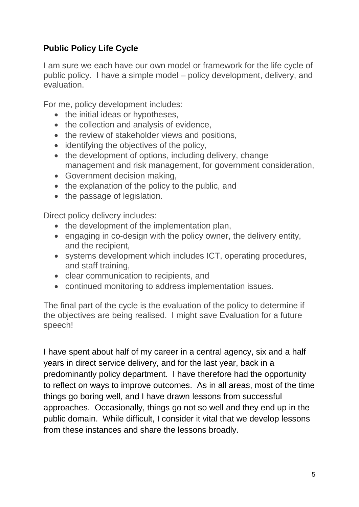## **Public Policy Life Cycle**

I am sure we each have our own model or framework for the life cycle of public policy. I have a simple model – policy development, delivery, and evaluation.

For me, policy development includes:

- the initial ideas or hypotheses,
- the collection and analysis of evidence,
- the review of stakeholder views and positions,
- identifying the objectives of the policy.
- the development of options, including delivery, change management and risk management, for government consideration,
- Government decision making,
- the explanation of the policy to the public, and
- the passage of legislation.

Direct policy delivery includes:

- the development of the implementation plan,
- engaging in co-design with the policy owner, the delivery entity, and the recipient,
- systems development which includes ICT, operating procedures, and staff training,
- clear communication to recipients, and
- continued monitoring to address implementation issues.

The final part of the cycle is the evaluation of the policy to determine if the objectives are being realised. I might save Evaluation for a future speech!

I have spent about half of my career in a central agency, six and a half years in direct service delivery, and for the last year, back in a predominantly policy department. I have therefore had the opportunity to reflect on ways to improve outcomes. As in all areas, most of the time things go boring well, and I have drawn lessons from successful approaches. Occasionally, things go not so well and they end up in the public domain. While difficult, I consider it vital that we develop lessons from these instances and share the lessons broadly.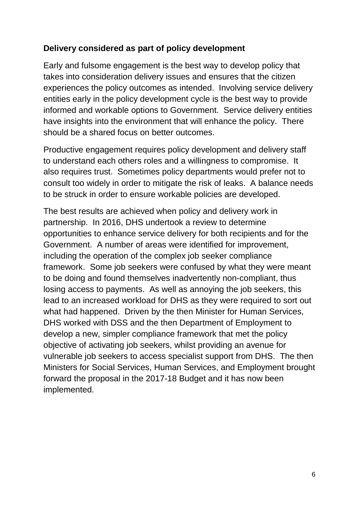#### **Delivery considered as part of policy development**

Early and fulsome engagement is the best way to develop policy that takes into consideration delivery issues and ensures that the citizen experiences the policy outcomes as intended. Involving service delivery entities early in the policy development cycle is the best way to provide informed and workable options to Government. Service delivery entities have insights into the environment that will enhance the policy. There should be a shared focus on better outcomes.

Productive engagement requires policy development and delivery staff to understand each others roles and a willingness to compromise. It also requires trust. Sometimes policy departments would prefer not to consult too widely in order to mitigate the risk of leaks. A balance needs to be struck in order to ensure workable policies are developed.

The best results are achieved when policy and delivery work in partnership. In 2016, DHS undertook a review to determine opportunities to enhance service delivery for both recipients and for the Government. A number of areas were identified for improvement, including the operation of the complex job seeker compliance framework. Some job seekers were confused by what they were meant to be doing and found themselves inadvertently non-compliant, thus losing access to payments. As well as annoying the job seekers, this lead to an increased workload for DHS as they were required to sort out what had happened. Driven by the then Minister for Human Services, DHS worked with DSS and the then Department of Employment to develop a new, simpler compliance framework that met the policy objective of activating job seekers, whilst providing an avenue for vulnerable job seekers to access specialist support from DHS. The then Ministers for Social Services, Human Services, and Employment brought forward the proposal in the 2017-18 Budget and it has now been implemented.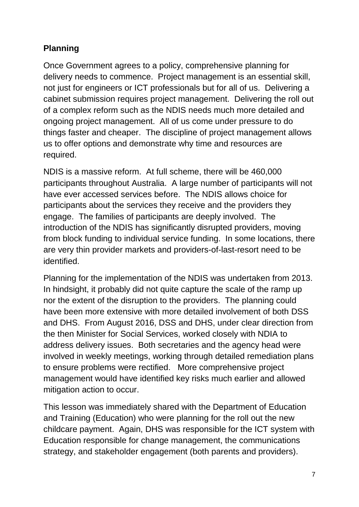# **Planning**

Once Government agrees to a policy, comprehensive planning for delivery needs to commence. Project management is an essential skill, not just for engineers or ICT professionals but for all of us. Delivering a cabinet submission requires project management. Delivering the roll out of a complex reform such as the NDIS needs much more detailed and ongoing project management. All of us come under pressure to do things faster and cheaper. The discipline of project management allows us to offer options and demonstrate why time and resources are required.

NDIS is a massive reform. At full scheme, there will be 460,000 participants throughout Australia. A large number of participants will not have ever accessed services before. The NDIS allows choice for participants about the services they receive and the providers they engage. The families of participants are deeply involved. The introduction of the NDIS has significantly disrupted providers, moving from block funding to individual service funding. In some locations, there are very thin provider markets and providers-of-last-resort need to be identified.

Planning for the implementation of the NDIS was undertaken from 2013. In hindsight, it probably did not quite capture the scale of the ramp up nor the extent of the disruption to the providers. The planning could have been more extensive with more detailed involvement of both DSS and DHS. From August 2016, DSS and DHS, under clear direction from the then Minister for Social Services, worked closely with NDIA to address delivery issues. Both secretaries and the agency head were involved in weekly meetings, working through detailed remediation plans to ensure problems were rectified. More comprehensive project management would have identified key risks much earlier and allowed mitigation action to occur.

This lesson was immediately shared with the Department of Education and Training (Education) who were planning for the roll out the new childcare payment. Again, DHS was responsible for the ICT system with Education responsible for change management, the communications strategy, and stakeholder engagement (both parents and providers).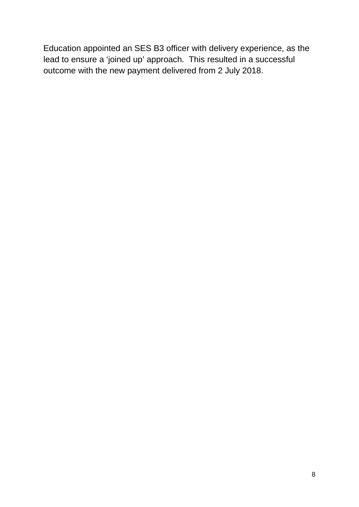Education appointed an SES B3 officer with delivery experience, as the lead to ensure a 'joined up' approach. This resulted in a successful outcome with the new payment delivered from 2 July 2018.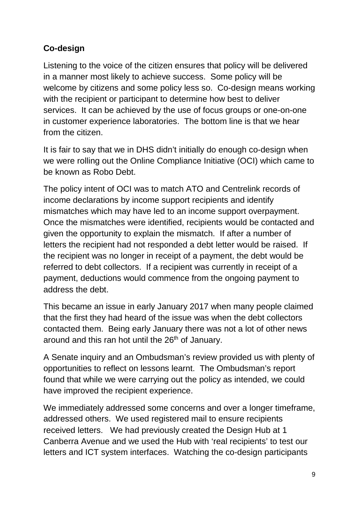# **Co-design**

Listening to the voice of the citizen ensures that policy will be delivered in a manner most likely to achieve success. Some policy will be welcome by citizens and some policy less so. Co-design means working with the recipient or participant to determine how best to deliver services. It can be achieved by the use of focus groups or one-on-one in customer experience laboratories. The bottom line is that we hear from the citizen.

It is fair to say that we in DHS didn't initially do enough co-design when we were rolling out the Online Compliance Initiative (OCI) which came to be known as Robo Debt.

The policy intent of OCI was to match ATO and Centrelink records of income declarations by income support recipients and identify mismatches which may have led to an income support overpayment. Once the mismatches were identified, recipients would be contacted and given the opportunity to explain the mismatch. If after a number of letters the recipient had not responded a debt letter would be raised. If the recipient was no longer in receipt of a payment, the debt would be referred to debt collectors. If a recipient was currently in receipt of a payment, deductions would commence from the ongoing payment to address the debt.

This became an issue in early January 2017 when many people claimed that the first they had heard of the issue was when the debt collectors contacted them. Being early January there was not a lot of other news around and this ran hot until the 26<sup>th</sup> of January.

A Senate inquiry and an Ombudsman's review provided us with plenty of opportunities to reflect on lessons learnt. The Ombudsman's report found that while we were carrying out the policy as intended, we could have improved the recipient experience.

We immediately addressed some concerns and over a longer timeframe, addressed others. We used registered mail to ensure recipients received letters. We had previously created the Design Hub at 1 Canberra Avenue and we used the Hub with 'real recipients' to test our letters and ICT system interfaces. Watching the co-design participants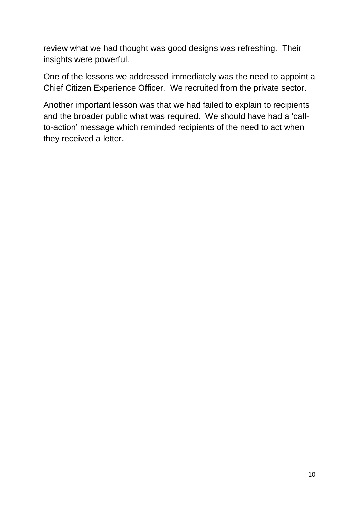review what we had thought was good designs was refreshing. Their insights were powerful.

One of the lessons we addressed immediately was the need to appoint a Chief Citizen Experience Officer. We recruited from the private sector.

Another important lesson was that we had failed to explain to recipients and the broader public what was required. We should have had a 'callto-action' message which reminded recipients of the need to act when they received a letter.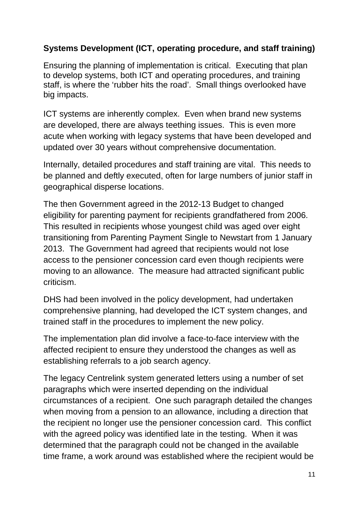### **Systems Development (ICT, operating procedure, and staff training)**

Ensuring the planning of implementation is critical. Executing that plan to develop systems, both ICT and operating procedures, and training staff, is where the 'rubber hits the road'. Small things overlooked have big impacts.

ICT systems are inherently complex. Even when brand new systems are developed, there are always teething issues. This is even more acute when working with legacy systems that have been developed and updated over 30 years without comprehensive documentation.

Internally, detailed procedures and staff training are vital. This needs to be planned and deftly executed, often for large numbers of junior staff in geographical disperse locations.

The then Government agreed in the 2012-13 Budget to changed eligibility for parenting payment for recipients grandfathered from 2006. This resulted in recipients whose youngest child was aged over eight transitioning from Parenting Payment Single to Newstart from 1 January 2013. The Government had agreed that recipients would not lose access to the pensioner concession card even though recipients were moving to an allowance. The measure had attracted significant public criticism.

DHS had been involved in the policy development, had undertaken comprehensive planning, had developed the ICT system changes, and trained staff in the procedures to implement the new policy.

The implementation plan did involve a face-to-face interview with the affected recipient to ensure they understood the changes as well as establishing referrals to a job search agency.

The legacy Centrelink system generated letters using a number of set paragraphs which were inserted depending on the individual circumstances of a recipient. One such paragraph detailed the changes when moving from a pension to an allowance, including a direction that the recipient no longer use the pensioner concession card. This conflict with the agreed policy was identified late in the testing. When it was determined that the paragraph could not be changed in the available time frame, a work around was established where the recipient would be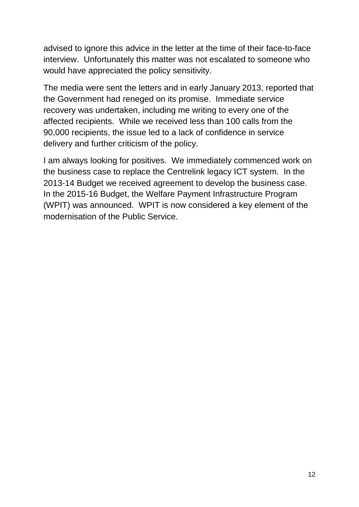advised to ignore this advice in the letter at the time of their face-to-face interview. Unfortunately this matter was not escalated to someone who would have appreciated the policy sensitivity.

The media were sent the letters and in early January 2013, reported that the Government had reneged on its promise. Immediate service recovery was undertaken, including me writing to every one of the affected recipients. While we received less than 100 calls from the 90,000 recipients, the issue led to a lack of confidence in service delivery and further criticism of the policy.

I am always looking for positives. We immediately commenced work on the business case to replace the Centrelink legacy ICT system. In the 2013-14 Budget we received agreement to develop the business case. In the 2015-16 Budget, the Welfare Payment Infrastructure Program (WPIT) was announced. WPIT is now considered a key element of the modernisation of the Public Service.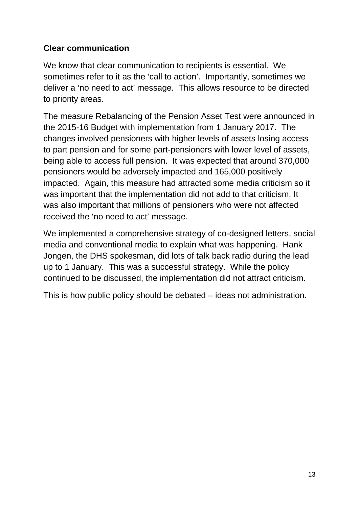### **Clear communication**

We know that clear communication to recipients is essential. We sometimes refer to it as the 'call to action'. Importantly, sometimes we deliver a 'no need to act' message. This allows resource to be directed to priority areas.

The measure Rebalancing of the Pension Asset Test were announced in the 2015-16 Budget with implementation from 1 January 2017. The changes involved pensioners with higher levels of assets losing access to part pension and for some part-pensioners with lower level of assets, being able to access full pension. It was expected that around 370,000 pensioners would be adversely impacted and 165,000 positively impacted. Again, this measure had attracted some media criticism so it was important that the implementation did not add to that criticism. It was also important that millions of pensioners who were not affected received the 'no need to act' message.

We implemented a comprehensive strategy of co-designed letters, social media and conventional media to explain what was happening. Hank Jongen, the DHS spokesman, did lots of talk back radio during the lead up to 1 January. This was a successful strategy. While the policy continued to be discussed, the implementation did not attract criticism.

This is how public policy should be debated – ideas not administration.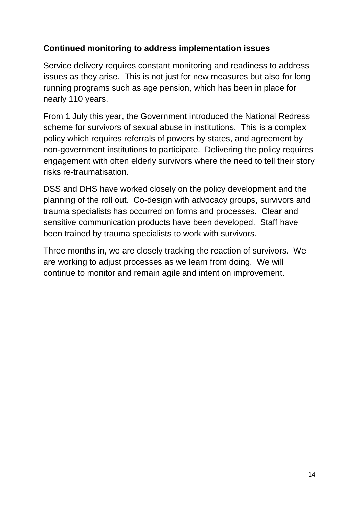### **Continued monitoring to address implementation issues**

Service delivery requires constant monitoring and readiness to address issues as they arise. This is not just for new measures but also for long running programs such as age pension, which has been in place for nearly 110 years.

From 1 July this year, the Government introduced the National Redress scheme for survivors of sexual abuse in institutions. This is a complex policy which requires referrals of powers by states, and agreement by non-government institutions to participate. Delivering the policy requires engagement with often elderly survivors where the need to tell their story risks re-traumatisation.

DSS and DHS have worked closely on the policy development and the planning of the roll out. Co-design with advocacy groups, survivors and trauma specialists has occurred on forms and processes. Clear and sensitive communication products have been developed. Staff have been trained by trauma specialists to work with survivors.

Three months in, we are closely tracking the reaction of survivors. We are working to adjust processes as we learn from doing. We will continue to monitor and remain agile and intent on improvement.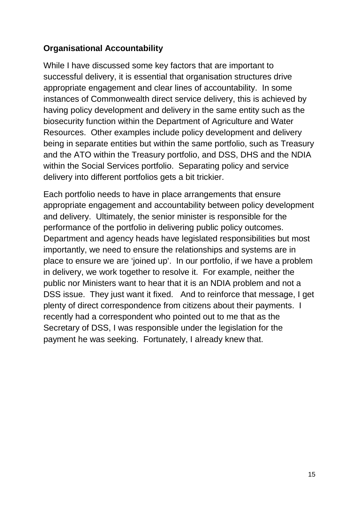#### **Organisational Accountability**

While I have discussed some key factors that are important to successful delivery, it is essential that organisation structures drive appropriate engagement and clear lines of accountability. In some instances of Commonwealth direct service delivery, this is achieved by having policy development and delivery in the same entity such as the biosecurity function within the Department of Agriculture and Water Resources. Other examples include policy development and delivery being in separate entities but within the same portfolio, such as Treasury and the ATO within the Treasury portfolio, and DSS, DHS and the NDIA within the Social Services portfolio. Separating policy and service delivery into different portfolios gets a bit trickier.

Each portfolio needs to have in place arrangements that ensure appropriate engagement and accountability between policy development and delivery. Ultimately, the senior minister is responsible for the performance of the portfolio in delivering public policy outcomes. Department and agency heads have legislated responsibilities but most importantly, we need to ensure the relationships and systems are in place to ensure we are 'joined up'. In our portfolio, if we have a problem in delivery, we work together to resolve it. For example, neither the public nor Ministers want to hear that it is an NDIA problem and not a DSS issue. They just want it fixed. And to reinforce that message, I get plenty of direct correspondence from citizens about their payments. I recently had a correspondent who pointed out to me that as the Secretary of DSS, I was responsible under the legislation for the payment he was seeking. Fortunately, I already knew that.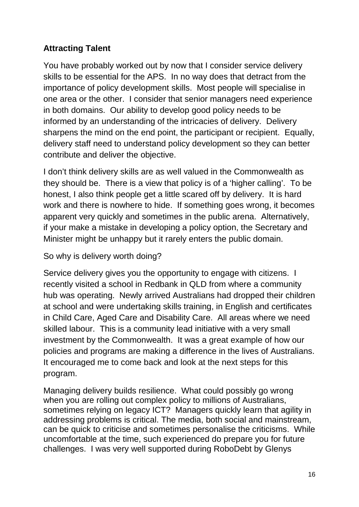# **Attracting Talent**

You have probably worked out by now that I consider service delivery skills to be essential for the APS. In no way does that detract from the importance of policy development skills. Most people will specialise in one area or the other. I consider that senior managers need experience in both domains. Our ability to develop good policy needs to be informed by an understanding of the intricacies of delivery. Delivery sharpens the mind on the end point, the participant or recipient. Equally, delivery staff need to understand policy development so they can better contribute and deliver the objective.

I don't think delivery skills are as well valued in the Commonwealth as they should be. There is a view that policy is of a 'higher calling'. To be honest, I also think people get a little scared off by delivery. It is hard work and there is nowhere to hide. If something goes wrong, it becomes apparent very quickly and sometimes in the public arena. Alternatively, if your make a mistake in developing a policy option, the Secretary and Minister might be unhappy but it rarely enters the public domain.

So why is delivery worth doing?

Service delivery gives you the opportunity to engage with citizens. I recently visited a school in Redbank in QLD from where a community hub was operating. Newly arrived Australians had dropped their children at school and were undertaking skills training, in English and certificates in Child Care, Aged Care and Disability Care. All areas where we need skilled labour. This is a community lead initiative with a very small investment by the Commonwealth. It was a great example of how our policies and programs are making a difference in the lives of Australians. It encouraged me to come back and look at the next steps for this program.

Managing delivery builds resilience. What could possibly go wrong when you are rolling out complex policy to millions of Australians, sometimes relying on legacy ICT? Managers quickly learn that agility in addressing problems is critical. The media, both social and mainstream, can be quick to criticise and sometimes personalise the criticisms. While uncomfortable at the time, such experienced do prepare you for future challenges. I was very well supported during RoboDebt by Glenys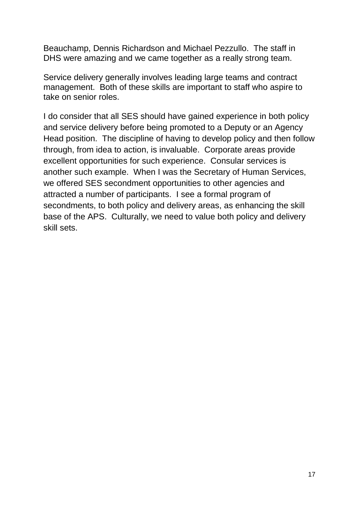Beauchamp, Dennis Richardson and Michael Pezzullo. The staff in DHS were amazing and we came together as a really strong team.

Service delivery generally involves leading large teams and contract management. Both of these skills are important to staff who aspire to take on senior roles.

I do consider that all SES should have gained experience in both policy and service delivery before being promoted to a Deputy or an Agency Head position. The discipline of having to develop policy and then follow through, from idea to action, is invaluable. Corporate areas provide excellent opportunities for such experience. Consular services is another such example. When I was the Secretary of Human Services, we offered SES secondment opportunities to other agencies and attracted a number of participants. I see a formal program of secondments, to both policy and delivery areas, as enhancing the skill base of the APS. Culturally, we need to value both policy and delivery skill sets.